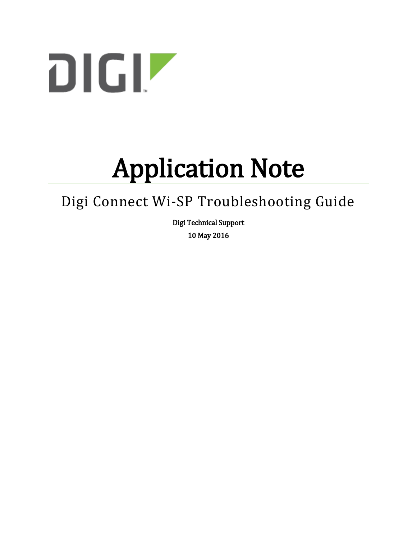

# Application Note

# Digi Connect Wi-SP Troubleshooting Guide

Digi Technical Support 10 May 2016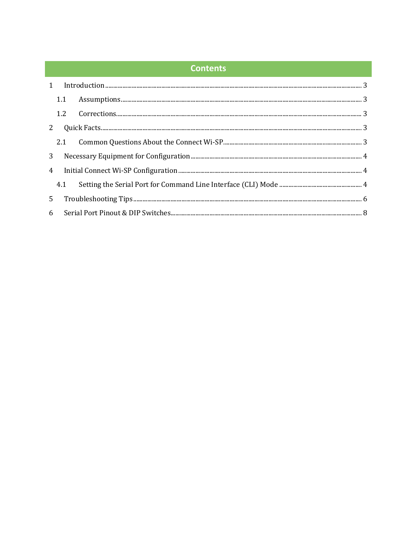#### **Contents**

|                | 1.1 |  |  |  |  |
|----------------|-----|--|--|--|--|
|                |     |  |  |  |  |
| 2              |     |  |  |  |  |
|                |     |  |  |  |  |
| 3 <sup>1</sup> |     |  |  |  |  |
|                | 4   |  |  |  |  |
|                | 4.1 |  |  |  |  |
| 5 <sup>1</sup> |     |  |  |  |  |
|                |     |  |  |  |  |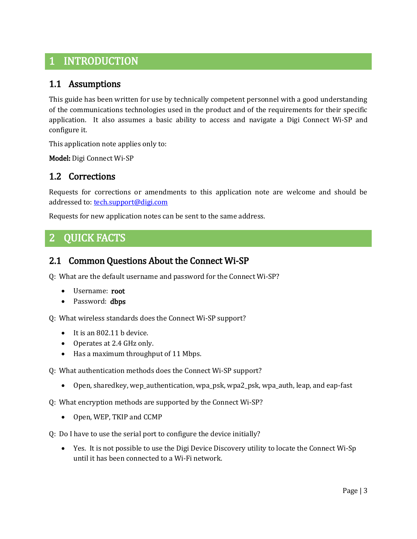## <span id="page-2-0"></span>1 INTRODUCTION

#### <span id="page-2-1"></span>1.1 Assumptions

This guide has been written for use by technically competent personnel with a good understanding of the communications technologies used in the product and of the requirements for their specific application. It also assumes a basic ability to access and navigate a Digi Connect Wi-SP and configure it.

This application note applies only to:

Model: Digi Connect Wi-SP

#### <span id="page-2-2"></span>1.2 Corrections

Requests for corrections or amendments to this application note are welcome and should be addressed to[: tech.support@digi.com](mailto:tech.support@digi.com)

Requests for new application notes can be sent to the same address.

# <span id="page-2-3"></span>2 QUICK FACTS

#### <span id="page-2-4"></span>2.1 Common Questions About the Connect Wi-SP

Q: What are the default username and password for the Connect Wi-SP?

- Username: root
- Password: **dbps**

Q: What wireless standards does the Connect Wi-SP support?

- It is an 802.11 b device.
- Operates at 2.4 GHz only.
- Has a maximum throughput of 11 Mbps.
- Q: What authentication methods does the Connect Wi-SP support?
	- Open, sharedkey, wep\_authentication, wpa\_psk, wpa2\_psk, wpa\_auth, leap, and eap-fast
- Q: What encryption methods are supported by the Connect Wi-SP?
	- Open, WEP, TKIP and CCMP
- Q: Do I have to use the serial port to configure the device initially?
	- Yes. It is not possible to use the Digi Device Discovery utility to locate the Connect Wi-Sp until it has been connected to a Wi-Fi network.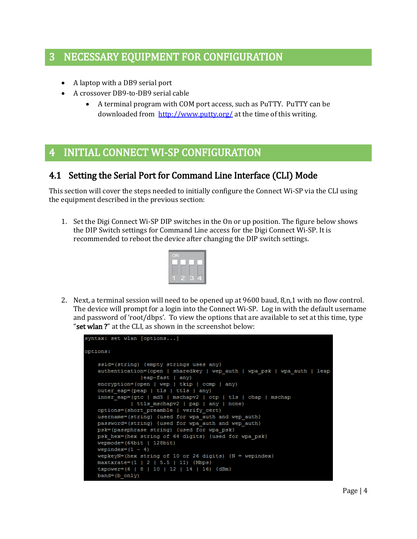### <span id="page-3-0"></span>3 NECESSARY EQUIPMENT FOR CONFIGURATION

- A laptop with a DB9 serial port
- A crossover DB9-to-DB9 serial cable
	- A terminal program with COM port access, such as PuTTY. PuTTY can be downloaded from<http://www.putty.org/> at the time of this writing.

# <span id="page-3-1"></span>4 INITIAL CONNECT WI-SP CONFIGURATION

#### <span id="page-3-2"></span>4.1 Setting the Serial Port for Command Line Interface (CLI) Mode

This section will cover the steps needed to initially configure the Connect Wi-SP via the CLI using the equipment described in the previous section:

1. Set the Digi Connect Wi-SP DIP switches in the On or up position. The figure below shows the DIP Switch settings for Command Line access for the Digi Connect Wi-SP. It is recommended to reboot the device after changing the DIP switch settings.



2. Next, a terminal session will need to be opened up at 9600 baud, 8,n,1 with no flow control. The device will prompt for a login into the Connect Wi-SP. Log in with the default username and password of 'root/dbps'. To view the options that are available to set at this time, type "set wlan?" at the CLI, as shown in the screenshot below:

```
syntax: set wlan [options...]
options:
    ssid=(string) {empty strings uses any}
    authentication=(open | sharedkey | wep_auth | wpa_psk | wpa_auth | leap
                 |eap-fast | any)
    encryption=(open | wep | tkip | ccmp | any)
    outer eap=(peap | tls | ttls | any)
    inner eap=(gtc | md5 | mschapv2 | otp | tls | chap | mschap
              | ttls_mschapv2 | pap | any | none)
    options=(short_preamble | verify_cert)
    username=(string) {used for wpa auth and wep auth}
    password=(string) {used for wpa_auth and wep_auth}
    psk=(passphrase string) {used for wpa psk}
   psk hex=(hex string of 64 digits) {used for wpa psk}
    wepmode=(64bit | 128bit)
    wepindex=(1 - 4)wepkeyN=(hex string of 10 or 26 digits) \{N = \text{wepindex}\}maxtxrate=(1 | 2 | 5.5 | 11) {Mbps}
    txpower=(6 | 8 | 10 | 12 | 14 | 16) {dBm}
    band=(b \text{ only})
```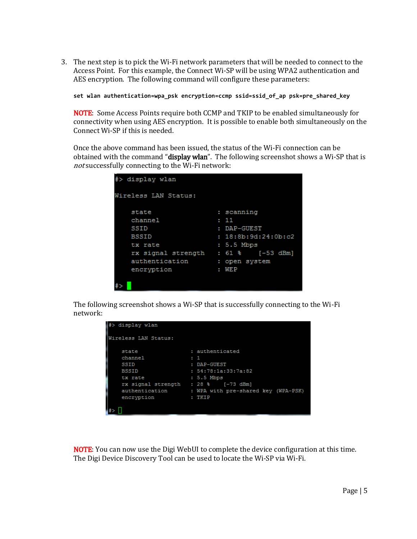3. The next step is to pick the Wi-Fi network parameters that will be needed to connect to the Access Point. For this example, the Connect Wi-SP will be using WPA2 authentication and AES encryption. The following command will configure these parameters:

**set wlan authentication=wpa\_psk encryption=ccmp ssid=ssid\_of\_ap psk=pre\_shared\_key**

NOTE: Some Access Points require both CCMP and TKIP to be enabled simultaneously for connectivity when using AES encryption. It is possible to enable both simultaneously on the Connect Wi-SP if this is needed.

Once the above command has been issued, the status of the Wi-Fi connection can be obtained with the command "display wlan". The following screenshot shows a Wi-SP that is not successfully connecting to the Wi-Fi network:

| #> display wlan      |                              |
|----------------------|------------------------------|
| Wireless LAN Status: |                              |
| state                | : scanning                   |
| channel              | : 11                         |
| SSID                 | $:$ $DAP-GUEST$              |
| <b>BSSID</b>         | : 18:8b:9d:24:0b: c2         |
| tx rate              | $: 5.5$ Mbps                 |
| rx signal strength   | $: 61$ % $[-53 \text{ dBm}]$ |
| authentication       | : open system                |
| encryption           | <b>WEP</b><br>٠              |
|                      |                              |
|                      |                              |

The following screenshot shows a Wi-SP that is successfully connecting to the Wi-Fi network:

| display wlan         |                                                    |
|----------------------|----------------------------------------------------|
| Wireless LAN Status: |                                                    |
| state                | : authenticated                                    |
| channel              | $\cdots$                                           |
| SSID                 | : DAP-GUEST                                        |
| <b>BSSID</b>         | : 54:78:1a:33:7a:82                                |
| tx rate              | $: 5.5$ Mbps                                       |
|                      | rx signal strength : $28$ % [-73 dBm]              |
|                      | authentication : WPA with pre-shared key (WPA-PSK) |
| encryption           | : TKIP                                             |
|                      |                                                    |
|                      |                                                    |

NOTE: You can now use the Digi WebUI to complete the device configuration at this time. The Digi Device Discovery Tool can be used to locate the Wi-SP via Wi-Fi.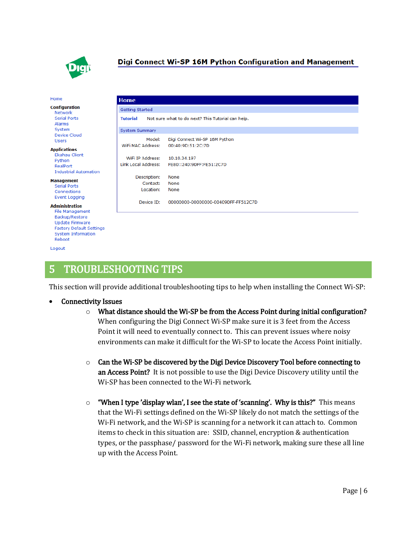

#### Digi Connect Wi-SP 16M Python Configuration and Management

| Home                                                                                                                                                                  | Home                                                                                       |  |  |  |  |
|-----------------------------------------------------------------------------------------------------------------------------------------------------------------------|--------------------------------------------------------------------------------------------|--|--|--|--|
| <b>Configuration</b><br>Network                                                                                                                                       | Getting Started                                                                            |  |  |  |  |
| <b>Serial Ports</b><br>Alarms                                                                                                                                         | <b>Tutorial</b><br>Not sure what to do next? This Tutorial can help.                       |  |  |  |  |
| System                                                                                                                                                                | <b>System Summary</b>                                                                      |  |  |  |  |
| Device Cloud<br><b>Users</b>                                                                                                                                          | Model:<br>Digi Connect Wi-SP 16M Python<br>WiFi MAC Address:<br>00:40:9D:51:2C:7D          |  |  |  |  |
| <b>Applications</b><br>Ekahau Client<br>Python<br>RealPort<br><b>Industrial Automation</b>                                                                            | WiFi IP Address:<br>10.10.34.197<br><b>Link Local Address:</b><br>FE80::240:9DFF:FE51:2C7D |  |  |  |  |
| <b>Management</b><br><b>Serial Ports</b><br>Connections<br><b>Event Logging</b>                                                                                       | Description:<br>None<br>Contact:<br>None<br>Location:<br>None                              |  |  |  |  |
| <b>Administration</b><br><b>File Management</b><br>Backup/Restore<br><b>Update Firmware</b><br><b>Factory Default Settings</b><br><b>System Information</b><br>Reboot | Device ID:<br>00000000-00000000-00409DFF-FF512C7D                                          |  |  |  |  |

# <span id="page-5-0"></span>5 TROUBLESHOOTING TIPS

This section will provide additional troubleshooting tips to help when installing the Connect Wi-SP:

- Connectivity Issues
	- o What distance should the Wi-SP be from the Access Point during initial configuration? When configuring the Digi Connect Wi-SP make sure it is 3 feet from the Access Point it will need to eventually connect to. This can prevent issues where noisy environments can make it difficult for the Wi-SP to locate the Access Point initially.
	- $\circ$  Can the Wi-SP be discovered by the Digi Device Discovery Tool before connecting to an Access Point? It is not possible to use the Digi Device Discovery utility until the Wi-SP has been connected to the Wi-Fi network.
	- $\circ$  "When I type 'display wlan', I see the state of 'scanning'. Why is this?" This means that the Wi-Fi settings defined on the Wi-SP likely do not match the settings of the Wi-Fi network, and the Wi-SP is scanning for a network it can attach to. Common items to check in this situation are: SSID, channel, encryption & authentication types, or the passphase/ password for the Wi-Fi network, making sure these all line up with the Access Point.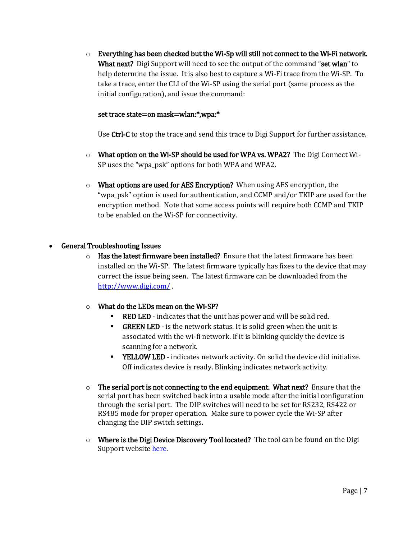$\circ$  Everything has been checked but the Wi-Sp will still not connect to the Wi-Fi network. What next? Digi Support will need to see the output of the command "set wlan" to help determine the issue. It is also best to capture a Wi-Fi trace from the Wi-SP. To take a trace, enter the CLI of the Wi-SP using the serial port (same process as the initial configuration), and issue the command:

#### set trace state=on mask=wlan:\*,wpa:\*

Use Ctrl-C to stop the trace and send this trace to Digi Support for further assistance.

- $\circ$  What option on the Wi-SP should be used for WPA vs. WPA2? The Digi Connect Wi-SP uses the "wpa\_psk" options for both WPA and WPA2.
- $\circ$  What options are used for AES Encryption? When using AES encryption, the "wpa\_psk" option is used for authentication, and CCMP and/or TKIP are used for the encryption method. Note that some access points will require both CCMP and TKIP to be enabled on the Wi-SP for connectivity.

#### General Troubleshooting Issues

 $\circ$  Has the latest firmware been installed? Ensure that the latest firmware has been installed on the Wi-SP. The latest firmware typically has fixes to the device that may correct the issue being seen. The latest firmware can be downloaded from the <http://www.digi.com/> .

#### o What do the LEDs mean on the Wi-SP?

- **RED LED** indicates that the unit has power and will be solid red.
- **GREEN LED** is the network status. It is solid green when the unit is associated with the wi-fi network. If it is blinking quickly the device is scanning for a network.
- YELLOW LED indicates network activity. On solid the device did initialize. Off indicates device is ready. Blinking indicates network activity.
- $\circ$  The serial port is not connecting to the end equipment. What next? Ensure that the serial port has been switched back into a usable mode after the initial configuration through the serial port. The DIP switches will need to be set for RS232, RS422 or RS485 mode for proper operation. Make sure to power cycle the Wi-SP after changing the DIP switch settings.
- $\circ$  Where is the Digi Device Discovery Tool located? The tool can be found on the Digi Support websit[e here.](http://ftp1.digi.com/support/utilities/40002256_H.exe)